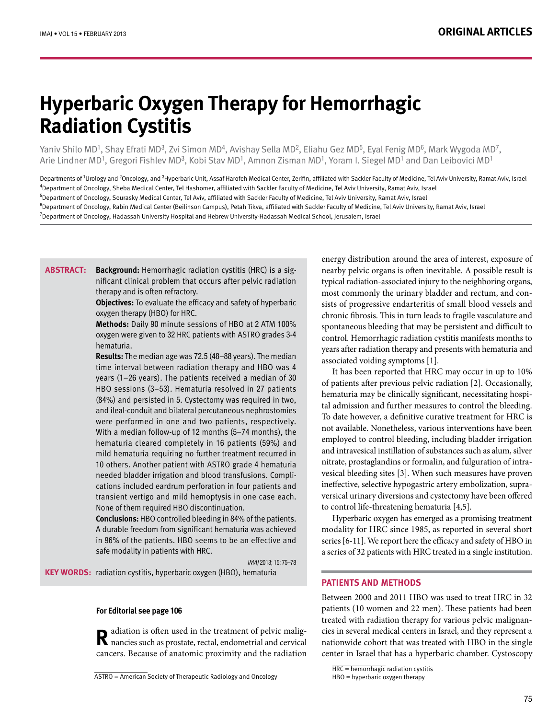# **Hyperbaric Oxygen Therapy for Hemorrhagic Radiation Cystitis**

Yaniv Shilo MD<sup>1</sup>, Shay Efrati MD<sup>3</sup>, Zvi Simon MD<sup>4</sup>, Avishay Sella MD<sup>2</sup>, Eliahu Gez MD<sup>5</sup>, Eyal Fenig MD<sup>6</sup>, Mark Wygoda MD<sup>7</sup>, Arie Lindner MD<sup>1</sup>, Gregori Fishlev MD<sup>3</sup>, Kobi Stav MD<sup>1</sup>, Amnon Zisman MD<sup>1</sup>, Yoram I. Siegel MD<sup>1</sup> and Dan Leibovici MD<sup>1</sup>

Departments of <sup>1</sup>Urology and <sup>2</sup>Oncology, and <sup>3</sup>Hyperbaric Unit, Assaf Harofeh Medical Center, Zerifin, affiliated with Sackler Faculty of Medicine, Tel Aviv University, Ramat Aviv, Israel <sup>4</sup>Department of Oncology, Sheba Medical Center, Tel Hashomer, affiliated with Sackler Faculty of Medicine, Tel Aviv University, Ramat Aviv, Israel <sup>5</sup>Department of Oncology, Sourasky Medical Center, Tel Aviv, affiliated with Sackler Faculty of Medicine, Tel Aviv University, Ramat Aviv, Israel <sup>6</sup>Department of Oncology, Rabin Medical Center (Beilinson Campus), Petah Tikva, affiliated with Sackler Faculty of Medicine, Tel Aviv University, Ramat Aviv, Israel<br><sup>7</sup>Department of Oncology, Hadassab University Hospital <sup>7</sup> Department of Oncology, Hadassah University Hospital and Hebrew University-Hadassah Medical School, Jerusalem, Israel

nificant clinical problem that occurs after pelvic radiation **Background:** Hemorrhagic radiation cystitis (HRC) is a sigtherapy and is often refractory. **:Abstract**

> **Objectives:** To evaluate the efficacy and safety of hyperbaric oxygen therapy (HBO) for HRC.

> Methods: Daily 90 minute sessions of HBO at 2 ATM 100% oxygen were given to 32 HRC patients with ASTRO grades 3-4 .hematuria

> **Results:** The median age was 72.5 (48–88 years). The median time interval between radiation therapy and HBO was 4 years (1-26 years). The patients received a median of 30 HBO sessions (3-53). Hematuria resolved in 27 patients  $(84%)$  and persisted in 5. Cystectomy was required in two, and ileal-conduit and bilateral percutaneous nephrostomies were performed in one and two patients, respectively. With a median follow-up of 12 months  $(5-74$  months), the hematuria cleared completely in 16 patients (59%) and mild hematuria requiring no further treatment recurred in 10 others. Another patient with ASTRO grade 4 hematuria cations included eardrum perforation in four patients and needed bladder irrigation and blood transfusions. Complitransient vertigo and mild hemoptysis in one case each. None of them required HBO discontinuation.

> **Conclusions:** HBO controlled bleeding in 84% of the patients. A durable freedom from significant hematuria was achieved in 96% of the patients. HBO seems to be an effective and safe modality in patients with HRC.

> > IMAI 2013: 15: 75-78

KEY WORDS: radiation cystitis, hyperbaric oxygen (HBO), hematuria

#### **For Editorial see page 106**

**R** adiation is often used in the treatment of pelvic malig-<br>mancies such as prostate, rectal, endometrial and cervical cancers. Because of anatomic proximity and the radiation energy distribution around the area of interest, exposure of nearby pelvic organs is often inevitable. A possible result is typical radiation-associated injury to the neighboring organs, sists of progressive endarteritis of small blood vessels and most commonly the urinary bladder and rectum, and conchronic fibrosis. This in turn leads to fragile vasculature and spontaneous bleeding that may be persistent and difficult to control. Hemorrhagic radiation cystitis manifests months to vears after radiation therapy and presents with hematuria and associated voiding symptoms  $[1]$ .

It has been reported that HRC may occur in up to 10% of patients after previous pelvic radiation [2]. Occasionally, tal admission and further measures to control the bleeding. hematuria may be clinically significant, necessitating hospi-To date however, a definitive curative treatment for HRC is not available. Nonetheless, various interventions have been employed to control bleeding, including bladder irrigation and intravesical instillation of substances such as alum, silver vesical bleeding sites [3]. When such measures have proven nitrate, prostaglandins or formalin, and fulguration of intraversical urinary diversions and cystectomy have been offered ineffective, selective hypogastric artery embolization, suprato control life-threatening hematuria  $[4,5]$ .

Hyperbaric oxygen has emerged as a promising treatment modality for HRC since 1985, as reported in several short series [6-11]. We report here the efficacy and safety of HBO in a series of 32 patients with HRC treated in a single institution.

## **PATIENTS AND METHODS**

Between 2000 and 2011 HBO was used to treat HRC in 32 patients (10 women and 22 men). These patients had been cies in several medical centers in Israel, and they represent a treated with radiation therapy for various pelvic malignannationwide cohort that was treated with HBO in the single center in Israel that has a hyperbaric chamber. Cystoscopy

 $HRC =$  hemorrhagic radiation cystitis

 $HBO = hyperbaric$  oxygen therapy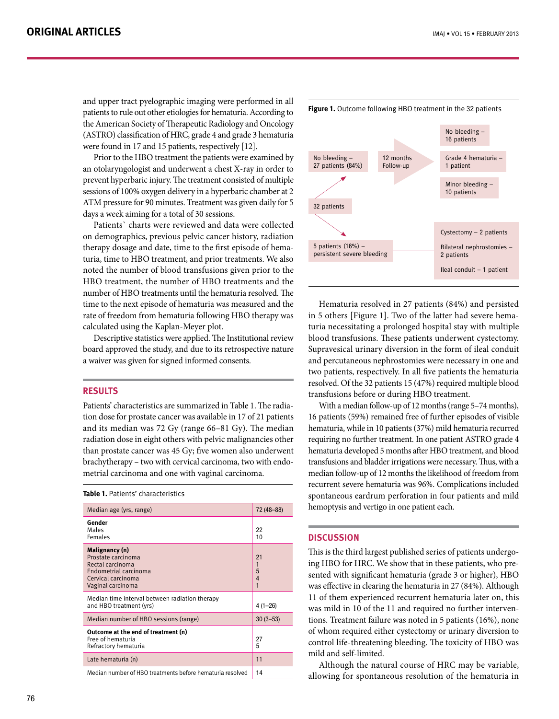and upper tract pyelographic imaging were performed in all patients to rule out other etiologies for hematuria. According to the American Society of Therapeutic Radiology and Oncology (ASTRO) classification of HRC, grade 4 and grade 3 hematuria were found in  $17$  and  $15$  patients, respectively  $[12]$ .

Prior to the HBO treatment the patients were examined by an otolaryngologist and underwent a chest X-ray in order to prevent hyperbaric injury. The treatment consisted of multiple sessions of 100% oxygen delivery in a hyperbaric chamber at 2 ATM pressure for 90 minutes. Treatment was given daily for 5 days a week aiming for a total of 30 sessions.

Patients` charts were reviewed and data were collected on demographics, previous pelvic cancer history, radiation turia, time to HBO treatment, and prior treatments. We also therapy dosage and date, time to the first episode of hemanoted the number of blood transfusions given prior to the HBO treatment, the number of HBO treatments and the number of HBO treatments until the hematuria resolved. The time to the next episode of hematuria was measured and the rate of freedom from hematuria following HBO therapy was calculated using the Kaplan-Meyer plot.

Descriptive statistics were applied. The Institutional review board approved the study, and due to its retrospective nature a waiver was given for signed informed consents.

#### **Results**

tion dose for prostate cancer was available in 17 of 21 patients Patients' characteristics are summarized in Table 1. The radiaand its median was 72 Gy (range  $66-81$  Gy). The median radiation dose in eight others with pelvic malignancies other than prostate cancer was 45 Gy; five women also underwent metrial carcinoma and one with vaginal carcinoma. brachytherapy – two with cervical carcinoma, two with endo-

#### **Table 1.** Patients' characteristics

| Median age (yrs, range)                                                                                                      | 72 (48-88)                    |
|------------------------------------------------------------------------------------------------------------------------------|-------------------------------|
| Gender<br>Males<br><b>Females</b>                                                                                            | 22<br>10                      |
| Malignancy (n)<br>Prostate carcinoma<br>Rectal carcinoma<br>Endometrial carcinoma<br>Cervical carcinoma<br>Vaginal carcinoma | 21<br>1<br>$\frac{5}{4}$<br>1 |
| Median time interval between radiation therapy<br>and HBO treatment (yrs)                                                    | $4(1-26)$                     |
| Median number of HBO sessions (range)                                                                                        | $30(3 - 53)$                  |
| Outcome at the end of treatment (n)<br>Free of hematuria<br>Refractory hematuria                                             | 27<br>5                       |
| Late hematuria (n)                                                                                                           | 11                            |
| Median number of HBO treatments before hematuria resolved                                                                    | 14                            |



Hematuria resolved in 27 patients (84%) and persisted turia necessitating a prolonged hospital stay with multiple in 5 others [Figure 1]. Two of the latter had severe hemablood transfusions. These patients underwent cystectomy. Supravesical urinary diversion in the form of ileal conduit and percutaneous nephrostomies were necessary in one and two patients, respectively. In all five patients the hematuria resolved. Of the 32 patients 15 (47%) required multiple blood transfusions before or during HBO treatment.

With a median follow-up of 12 months (range 5–74 months), 16 patients (59%) remained free of further episodes of visible hematuria, while in 10 patients (37%) mild hematuria recurred requiring no further treatment. In one patient ASTRO grade 4 hematuria developed 5 months after HBO treatment, and blood transfusions and bladder irrigations were necessary. Thus, with a median follow-up of 12 months the likelihood of freedom from recurrent severe hematuria was 96%. Complications included spontaneous eardrum perforation in four patients and mild hemoptysis and vertigo in one patient each.

### **Discussion**

sented with significant hematuria (grade 3 or higher), HBO ing HBO for HRC. We show that in these patients, who pre-This is the third largest published series of patients undergowas effective in clearing the hematuria in 27 (84%). Although 11 of them experienced recurrent hematuria later on, this tions. Treatment failure was noted in 5 patients  $(16%)$ , none was mild in 10 of the 11 and required no further intervenof whom required either cystectomy or urinary diversion to control life-threatening bleeding. The toxicity of HBO was mild and self-limited.

Although the natural course of HRC may be variable, allowing for spontaneous resolution of the hematuria in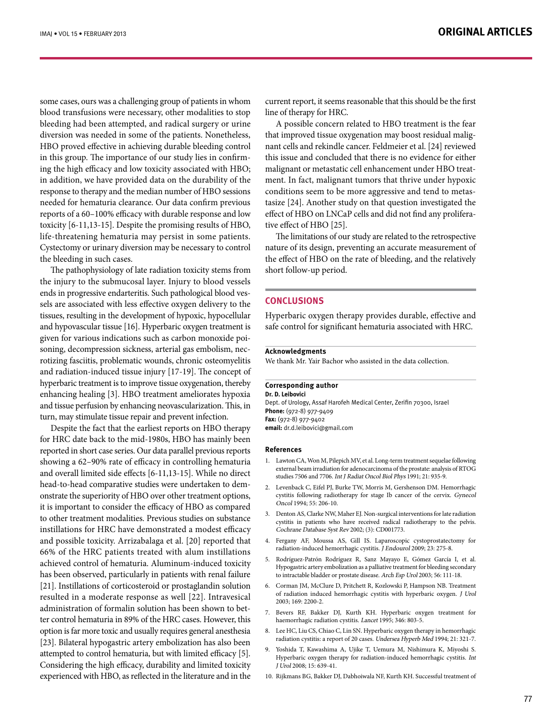some cases, ours was a challenging group of patients in whom blood transfusions were necessary, other modalities to stop bleeding had been attempted, and radical surgery or urine diversion was needed in some of the patients. Nonetheless, HBO proved effective in achieving durable bleeding control ing the high efficacy and low toxicity associated with HBO; in this group. The importance of our study lies in confirmin addition, we have provided data on the durability of the response to therapy and the median number of HBO sessions needed for hematuria clearance. Our data confirm previous reports of a 60-100% efficacy with durable response and low toxicity  $[6-11,13-15]$ . Despite the promising results of HBO, life-threatening hematuria may persist in some patients. Cystectomy or urinary diversion may be necessary to control the bleeding in such cases.

The pathophysiology of late radiation toxicity stems from the injury to the submucosal layer. Injury to blood vessels sels are associated with less effective oxygen delivery to the ends in progressive endarteritis. Such pathological blood vestissues, resulting in the development of hypoxic, hypocellular and hypovascular tissue [16]. Hyperbaric oxygen treatment is rotizing fasciitis, problematic wounds, chronic osteomyelitis soning, decompression sickness, arterial gas embolism, necgiven for various indications such as carbon monoxide poiand radiation-induced tissue injury  $[17-19]$ . The concept of hyperbaric treatment is to improve tissue oxygenation, thereby enhancing healing [3]. HBO treatment ameliorates hypoxia and tissue perfusion by enhancing neovascularization. This, in turn, may stimulate tissue repair and prevent infection.

Despite the fact that the earliest reports on HBO therapy for HRC date back to the mid-1980s, HBO has mainly been reported in short case series. Our data parallel previous reports showing a 62-90% rate of efficacy in controlling hematuria and overall limited side effects [6-11,13-15]. While no direct onstrate the superiority of HBO over other treatment options, head-to-head comparative studies were undertaken to demit is important to consider the efficacy of HBO as compared to other treatment modalities. Previous studies on substance instillations for HRC have demonstrated a modest efficacy and possible toxicity. Arrizabalaga et al. [20] reported that 66% of the HRC patients treated with alum instillations achieved control of hematuria. Aluminum-induced toxicity has been observed, particularly in patients with renal failure [21]. Instillations of corticosteroid or prostaglandin solution resulted in a moderate response as well [22]. Intravesical ter control hematuria in 89% of the HRC cases. However, this administration of formalin solution has been shown to betoption is far more toxic and usually requires general anesthesia [23]. Bilateral hypogastric artery embolization has also been attempted to control hematuria, but with limited efficacy [5]. Considering the high efficacy, durability and limited toxicity experienced with HBO, as reflected in the literature and in the

current report, it seems reasonable that this should be the first line of therapy for HRC.

A possible concern related to HBO treatment is the fear nant cells and rekindle cancer. Feldmeier et al. [24] reviewed that improved tissue oxygenation may boost residual maligthis issue and concluded that there is no evidence for either ment. In fact, malignant tumors that thrive under hypoxic malignant or metastatic cell enhancement under HBO treattasize  $[24]$ . Another study on that question investigated the conditions seem to be more aggressive and tend to metaseffect of HBO on LNCaP cells and did not find any proliferative effect of HBO [25].

The limitations of our study are related to the retrospective nature of its design, preventing an accurate measurement of the effect of HBO on the rate of bleeding, and the relatively short follow-up period.

#### **Conclusions**

Hyperbaric oxygen therapy provides durable, effective and safe control for significant hematuria associated with HRC.

#### **Acknowledgments**

We thank Mr. Yair Bachor who assisted in the data collection.

#### **Corresponding** author

**Dr. D. Leibovici** Dept. of Urology, Assaf Harofeh Medical Center, Zerifin 70300, Israel Phone: (972-8) 977-9409 Fax: (972-8) 977-9402  $email: dr.d. leibovici@gmail.com$ 

#### **References**

- 1. Lawton CA, Won M, Pilepich MV, et al. Long-term treatment sequelae following external beam irradiation for adenocarcinoma of the prostate: analysis of RTOG studies 7506 and 7706. Int J Radiat Oncol Biol Phys 1991; 21: 935-9.
- 2. Levenback C, Eifel PJ, Burke TW, Morris M, Gershenson DM. Hemorrhagic cystitis following radiotherapy for stage Ib cancer of the cervix. Gynecol Oncol 1994; 55: 206-10.
- 3. Denton AS, Clarke NW, Maher EJ. Non-surgical interventions for late radiation cystitis in patients who have received radical radiotherapy to the pelvis. Cochrane Database Syst Rev 2002; (3): CD001773
- 4. Fergany AF, Moussa AS, Gill IS. Laparoscopic cystoprostatectomy for radiation-induced hemorrhagic cystitis. J Endourol 2009; 23: 275-8.
- 5. Rodríguez-Patrón Rodríguez R, Sanz Mayayo E, Gómez García I, et al. Hypogastric artery embolization as a palliative treatment for bleeding secondary to intractable bladder or prostate disease. Arch Esp Urol 2003; 56: 111-18.
- 6. Corman JM, McClure D, Pritchett R, Kozlowski P, Hampson NB. Treatment of radiation induced hemorrhagic cystitis with hyperbaric oxygen. J Urol 2003; 169: 2200-2.
- 7. Bevers RF, Bakker DJ, Kurth KH. Hyperbaric oxygen treatment for haemorrhagic radiation cystitis. Lancet 1995; 346: 803-5.
- 8. Lee HC, Liu CS, Chiao C, Lin SN. Hyperbaric oxygen therapy in hemorrhagic radiation cystitis: a report of 20 cases. Undersea Hyperb Med 1994; 21: 321-7.
- 9. Yoshida T, Kawashima A, Ujike T, Uemura M, Nishimura K, Miyoshi S. Hyperbaric oxygen therapy for radiation-induced hemorrhagic cystitis. Int J Urol 2008; 15: 639-41.
- 10. Rijkmans BG, Bakker DJ, Dabhoiwala NF, Kurth KH. Successful treatment of